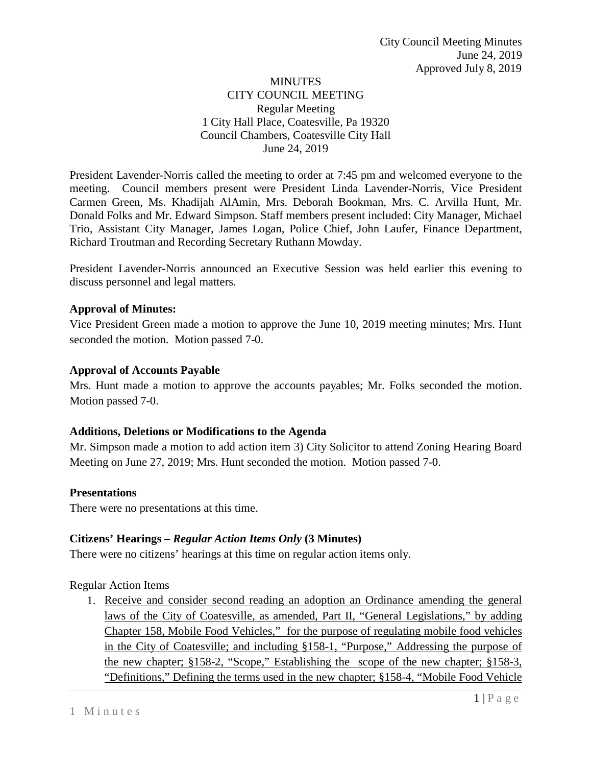### MINUTES CITY COUNCIL MEETING Regular Meeting 1 City Hall Place, Coatesville, Pa 19320 Council Chambers, Coatesville City Hall June 24, 2019

President Lavender-Norris called the meeting to order at 7:45 pm and welcomed everyone to the meeting. Council members present were President Linda Lavender-Norris, Vice President Carmen Green, Ms. Khadijah AlAmin, Mrs. Deborah Bookman, Mrs. C. Arvilla Hunt, Mr. Donald Folks and Mr. Edward Simpson. Staff members present included: City Manager, Michael Trio, Assistant City Manager, James Logan, Police Chief, John Laufer, Finance Department, Richard Troutman and Recording Secretary Ruthann Mowday.

President Lavender-Norris announced an Executive Session was held earlier this evening to discuss personnel and legal matters.

### **Approval of Minutes:**

Vice President Green made a motion to approve the June 10, 2019 meeting minutes; Mrs. Hunt seconded the motion. Motion passed 7-0.

### **Approval of Accounts Payable**

Mrs. Hunt made a motion to approve the accounts payables; Mr. Folks seconded the motion. Motion passed 7-0.

#### **Additions, Deletions or Modifications to the Agenda**

Mr. Simpson made a motion to add action item 3) City Solicitor to attend Zoning Hearing Board Meeting on June 27, 2019; Mrs. Hunt seconded the motion. Motion passed 7-0.

#### **Presentations**

There were no presentations at this time.

## **Citizens' Hearings –** *Regular Action Items Only* **(3 Minutes)**

There were no citizens' hearings at this time on regular action items only.

## Regular Action Items

1. Receive and consider second reading an adoption an Ordinance amending the general laws of the City of Coatesville, as amended, Part II, "General Legislations," by adding Chapter 158, Mobile Food Vehicles," for the purpose of regulating mobile food vehicles in the City of Coatesville; and including §158-1, "Purpose," Addressing the purpose of the new chapter; §158-2, "Scope," Establishing the scope of the new chapter; §158-3, "Definitions," Defining the terms used in the new chapter; §158-4, "Mobile Food Vehicle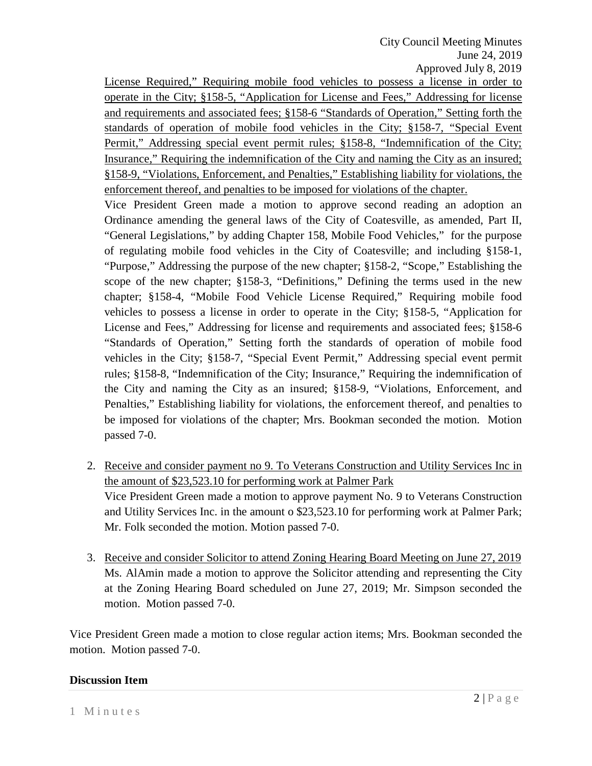License Required," Requiring mobile food vehicles to possess a license in order to operate in the City; §158-5, "Application for License and Fees," Addressing for license and requirements and associated fees; §158-6 "Standards of Operation," Setting forth the standards of operation of mobile food vehicles in the City; §158-7, "Special Event Permit," Addressing special event permit rules; §158-8, "Indemnification of the City; Insurance," Requiring the indemnification of the City and naming the City as an insured; §158-9, "Violations, Enforcement, and Penalties," Establishing liability for violations, the enforcement thereof, and penalties to be imposed for violations of the chapter.

Vice President Green made a motion to approve second reading an adoption an Ordinance amending the general laws of the City of Coatesville, as amended, Part II, "General Legislations," by adding Chapter 158, Mobile Food Vehicles," for the purpose of regulating mobile food vehicles in the City of Coatesville; and including §158-1, "Purpose," Addressing the purpose of the new chapter; §158-2, "Scope," Establishing the scope of the new chapter; §158-3, "Definitions," Defining the terms used in the new chapter; §158-4, "Mobile Food Vehicle License Required," Requiring mobile food vehicles to possess a license in order to operate in the City; §158-5, "Application for License and Fees," Addressing for license and requirements and associated fees; §158-6 "Standards of Operation," Setting forth the standards of operation of mobile food vehicles in the City; §158-7, "Special Event Permit," Addressing special event permit rules; §158-8, "Indemnification of the City; Insurance," Requiring the indemnification of the City and naming the City as an insured; §158-9, "Violations, Enforcement, and Penalties," Establishing liability for violations, the enforcement thereof, and penalties to be imposed for violations of the chapter; Mrs. Bookman seconded the motion. Motion passed 7-0.

- 2. Receive and consider payment no 9. To Veterans Construction and Utility Services Inc in the amount of \$23,523.10 for performing work at Palmer Park Vice President Green made a motion to approve payment No. 9 to Veterans Construction and Utility Services Inc. in the amount o \$23,523.10 for performing work at Palmer Park; Mr. Folk seconded the motion. Motion passed 7-0.
- 3. Receive and consider Solicitor to attend Zoning Hearing Board Meeting on June 27, 2019 Ms. AlAmin made a motion to approve the Solicitor attending and representing the City at the Zoning Hearing Board scheduled on June 27, 2019; Mr. Simpson seconded the motion. Motion passed 7-0.

Vice President Green made a motion to close regular action items; Mrs. Bookman seconded the motion. Motion passed 7-0.

#### **Discussion Item**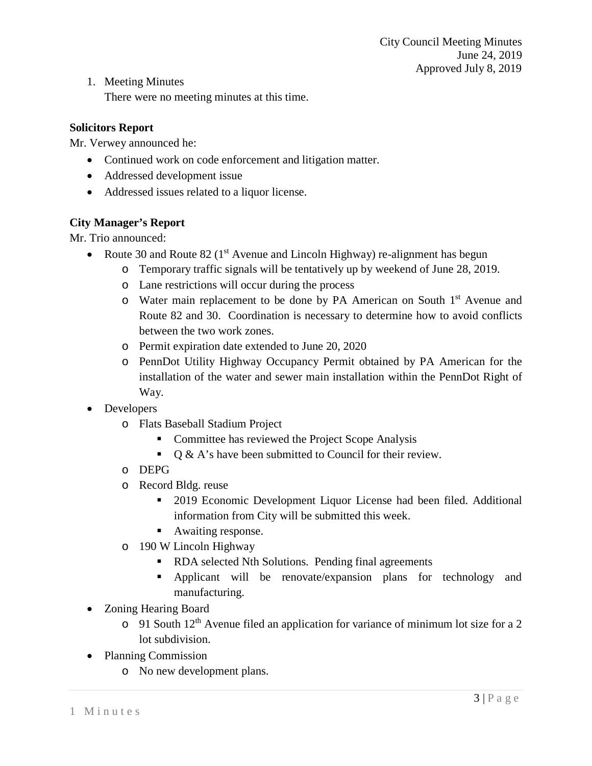1. Meeting Minutes

There were no meeting minutes at this time.

## **Solicitors Report**

Mr. Verwey announced he:

- Continued work on code enforcement and litigation matter.
- Addressed development issue
- Addressed issues related to a liquor license.

## **City Manager's Report**

Mr. Trio announced:

- Route 30 and Route 82 ( $1<sup>st</sup>$  Avenue and Lincoln Highway) re-alignment has begun
	- o Temporary traffic signals will be tentatively up by weekend of June 28, 2019.
	- o Lane restrictions will occur during the process
	- o Water main replacement to be done by PA American on South 1st Avenue and Route 82 and 30. Coordination is necessary to determine how to avoid conflicts between the two work zones.
	- o Permit expiration date extended to June 20, 2020
	- o PennDot Utility Highway Occupancy Permit obtained by PA American for the installation of the water and sewer main installation within the PennDot Right of Way.
- Developers
	- o Flats Baseball Stadium Project
		- Committee has reviewed the Project Scope Analysis
		- $\bullet$  Q & A's have been submitted to Council for their review.
	- o DEPG
	- o Record Bldg. reuse
		- 2019 Economic Development Liquor License had been filed. Additional information from City will be submitted this week.
		- Awaiting response.
	- o 190 W Lincoln Highway
		- RDA selected Nth Solutions. Pending final agreements
		- Applicant will be renovate/expansion plans for technology and manufacturing.
- Zoning Hearing Board
	- $\circ$  91 South 12<sup>th</sup> Avenue filed an application for variance of minimum lot size for a 2 lot subdivision.
- Planning Commission
	- o No new development plans.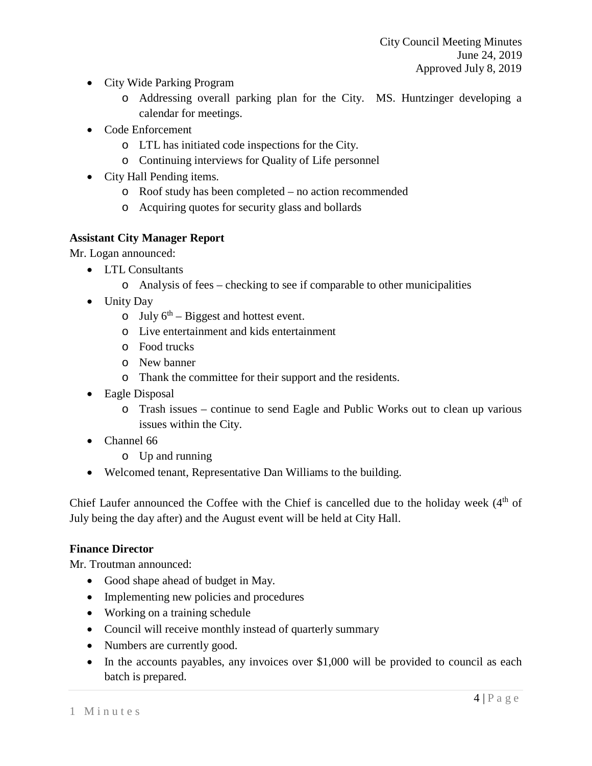- City Wide Parking Program
	- o Addressing overall parking plan for the City. MS. Huntzinger developing a calendar for meetings.
- Code Enforcement
	- o LTL has initiated code inspections for the City.
	- o Continuing interviews for Quality of Life personnel
- City Hall Pending items.
	- o Roof study has been completed no action recommended
	- o Acquiring quotes for security glass and bollards

## **Assistant City Manager Report**

Mr. Logan announced:

- LTL Consultants
	- o Analysis of fees checking to see if comparable to other municipalities
- Unity Day
	- o July  $6^{th}$  Biggest and hottest event.
	- o Live entertainment and kids entertainment
	- o Food trucks
	- o New banner
	- o Thank the committee for their support and the residents.
- Eagle Disposal
	- o Trash issues continue to send Eagle and Public Works out to clean up various issues within the City.
- Channel 66
	- o Up and running
- Welcomed tenant, Representative Dan Williams to the building.

Chief Laufer announced the Coffee with the Chief is cancelled due to the holiday week (4<sup>th</sup> of July being the day after) and the August event will be held at City Hall.

## **Finance Director**

Mr. Troutman announced:

- Good shape ahead of budget in May.
- Implementing new policies and procedures
- Working on a training schedule
- Council will receive monthly instead of quarterly summary
- Numbers are currently good.
- In the accounts payables, any invoices over \$1,000 will be provided to council as each batch is prepared.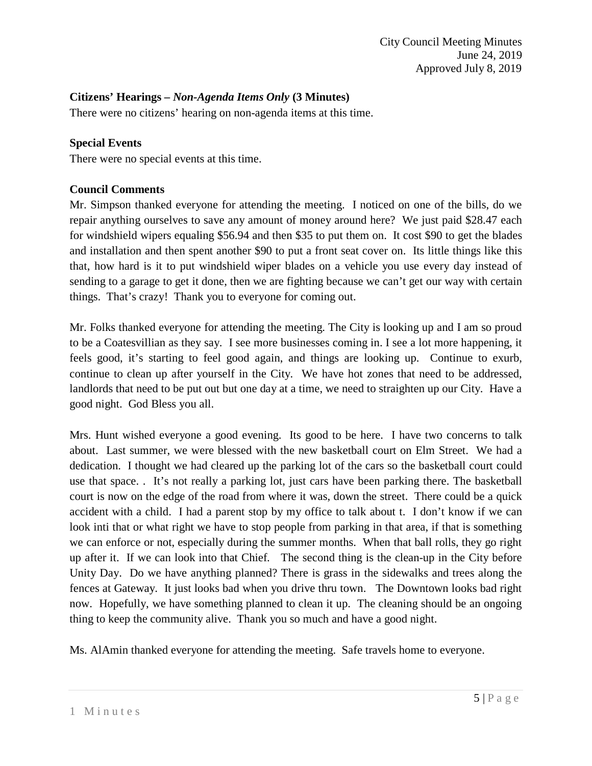### **Citizens' Hearings –** *Non-Agenda Items Only* **(3 Minutes)**

There were no citizens' hearing on non-agenda items at this time.

#### **Special Events**

There were no special events at this time.

### **Council Comments**

Mr. Simpson thanked everyone for attending the meeting. I noticed on one of the bills, do we repair anything ourselves to save any amount of money around here? We just paid \$28.47 each for windshield wipers equaling \$56.94 and then \$35 to put them on. It cost \$90 to get the blades and installation and then spent another \$90 to put a front seat cover on. Its little things like this that, how hard is it to put windshield wiper blades on a vehicle you use every day instead of sending to a garage to get it done, then we are fighting because we can't get our way with certain things. That's crazy! Thank you to everyone for coming out.

Mr. Folks thanked everyone for attending the meeting. The City is looking up and I am so proud to be a Coatesvillian as they say. I see more businesses coming in. I see a lot more happening, it feels good, it's starting to feel good again, and things are looking up. Continue to exurb, continue to clean up after yourself in the City. We have hot zones that need to be addressed, landlords that need to be put out but one day at a time, we need to straighten up our City. Have a good night. God Bless you all.

Mrs. Hunt wished everyone a good evening. Its good to be here. I have two concerns to talk about. Last summer, we were blessed with the new basketball court on Elm Street. We had a dedication. I thought we had cleared up the parking lot of the cars so the basketball court could use that space. . It's not really a parking lot, just cars have been parking there. The basketball court is now on the edge of the road from where it was, down the street. There could be a quick accident with a child. I had a parent stop by my office to talk about t. I don't know if we can look inti that or what right we have to stop people from parking in that area, if that is something we can enforce or not, especially during the summer months. When that ball rolls, they go right up after it. If we can look into that Chief. The second thing is the clean-up in the City before Unity Day. Do we have anything planned? There is grass in the sidewalks and trees along the fences at Gateway. It just looks bad when you drive thru town. The Downtown looks bad right now. Hopefully, we have something planned to clean it up. The cleaning should be an ongoing thing to keep the community alive. Thank you so much and have a good night.

Ms. AlAmin thanked everyone for attending the meeting. Safe travels home to everyone.